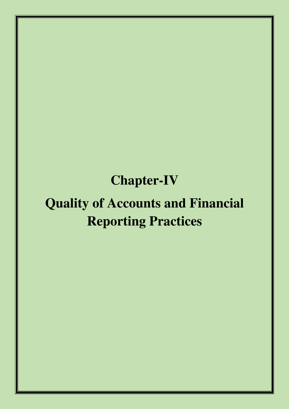# **Chapter-IV**

# **Quality of Accounts and Financial Reporting Practices**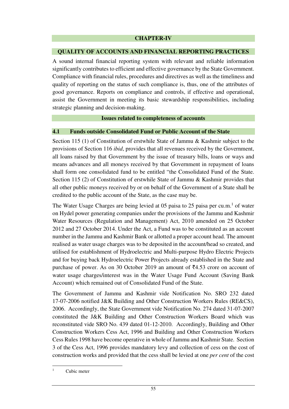#### **CHAPTER-IV**

#### **QUALITY OF ACCOUNTS AND FINANCIAL REPORTING PRACTICES**

A sound internal financial reporting system with relevant and reliable information significantly contributes to efficient and effective governance by the State Government. Compliance with financial rules, procedures and directives as well as the timeliness and quality of reporting on the status of such compliance is, thus, one of the attributes of good governance. Reports on compliance and controls, if effective and operational, assist the Government in meeting its basic stewardship responsibilities, including strategic planning and decision-making.

#### **Issues related to completeness of accounts**

#### **4.1 Funds outside Consolidated Fund or Public Account of the State**

Section 115 (1) of Constitution of erstwhile State of Jammu & Kashmir subject to the provisions of Section 116 *ibid*, provides that all revenues received by the Government, all loans raised by that Government by the issue of treasury bills, loans or ways and means advances and all moneys received by that Government in repayment of loans shall form one consolidated fund to be entitled "the Consolidated Fund of the State. Section 115 (2) of Constitution of erstwhile State of Jammu & Kashmir provides that all other public moneys received by or on behalf of the Government of a State shall be credited to the public account of the State, as the case may be.

The Water Usage Charges are being levied at 05 paisa to 25 paisa per  $cu.m.^1$  of water on Hydel power generating companies under the provisions of the Jammu and Kashmir Water Resources (Regulation and Management) Act, 2010 amended on 25 October 2012 and 27 October 2014. Under the Act, a Fund was to be constituted as an account number in the Jammu and Kashmir Bank or allotted a proper account head. The amount realised as water usage charges was to be deposited in the account/head so created, and utilised for establishment of Hydroelectric and Multi-purpose Hydro Electric Projects and for buying back Hydroelectric Power Projects already established in the State and purchase of power. As on 30 October 2019 an amount of  $\bar{z}4.53$  crore on account of water usage charges/interest was in the Water Usage Fund Account (Saving Bank Account) which remained out of Consolidated Fund of the State.

The Government of Jammu and Kashmir vide Notification No. SRO 232 dated 17-07-2006 notified J&K Building and Other Construction Workers Rules (RE&CS), 2006. Accordingly, the State Government vide Notification No. 274 dated 31-07-2007 constituted the J&K Building and Other Construction Workers Board which was reconstituted vide SRO No. 439 dated 01-12-2010. Accordingly, Building and Other Construction Workers Cess Act, 1996 and Building and Other Construction Workers Cess Rules 1998 have become operative in whole of Jammu and Kashmir State. Section 3 of the Cess Act, 1996 provides mandatory levy and collection of cess on the cost of construction works and provided that the cess shall be levied at one *per cent* of the cost

l

<sup>1</sup> Cubic meter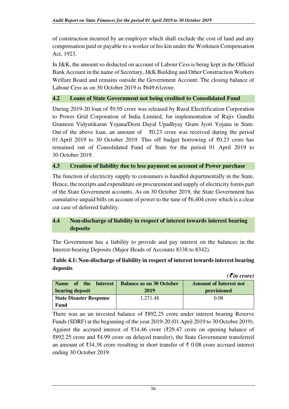of construction incurred by an employer which shall exclude the cost of land and any compensation paid or payable to a worker or his kin under the Workmen Compensation Act, 1923.

In J&K, the amount so deducted on account of Labour Cess is being kept in the Official Bank Account in the name of Secretary, J&K Building and Other Construction Workers Welfare Board and remains outside the Government Account. The closing balance of Labour Cess as on 30 October 2019 is ₹649.61crore.

#### **4.2 Loans of State Government not being credited to Consolidated Fund**

During 2019-20 loan of ₹0.95 crore was released by Rural Electrification Corporation to Power Grid Corporation of India Limited, for implementation of Rajiv Gandhi Grameen Vidyutikaran Yojana/Deen Dayal Upadhyay Gram Jyoti Yojana in State. Out of the above loan, an amount of  $\bar{\tau}$ 0.23 crore was received during the period 01 April 2019 to 30 October 2019. This off budget borrowing of ₹0.23 crore has remained out of Consolidated Fund of State for the period 01 April 2019 to 30 October 2019.

#### **4.3 Creation of liability due to less payment on account of Power purchase**

The function of electricity supply to consumers is handled departmentally in the State, Hence, the receipts and expenditure on procurement and supply of electricity forms part of the State Government accounts. As on 30 October 2019, the State Government has cumulative unpaid bills on account of power to the tune of  $\text{\textdegree}6,404$  crore which is a clear cut case of deferred liability.

# **4.4 Non-discharge of liability in respect of interest towards interest bearing deposits**

The Government has a liability to provide and pay interest on the balances in the Interest-bearing Deposits (Major Heads of Accounts 8338 to 8342).

#### **Table 4.1: Non-discharge of liability in respect of interest towards interest bearing deposits**

|                                |                                 | $( \bar{z}$ in crore)         |
|--------------------------------|---------------------------------|-------------------------------|
| Name of the Interest           | <b>Balance as on 30 October</b> | <b>Amount of Interest not</b> |
| bearing deposit                | 2019                            | provisioned                   |
| <b>State Disaster Response</b> | 1,271.48                        | 0.08                          |
| Fund                           |                                 |                               |

There was an un invested balance of ₹892.25 crore under interest bearing Reserve Funds (SDRF) at the beginning of the year 2019-20 (01 April 2019 to 30 October 2019). Against the accrued interest of  $\bar{\xi}$ 34.46 crore ( $\bar{\xi}$ 29.47 crore on opening balance of ₹892.25 crore and ₹4.99 crore on delayed transfer), the State Government transferred an amount of ₹34.38 crore resulting in short transfer of ₹ 0.08 crore accrued interest ending 30 October 2019.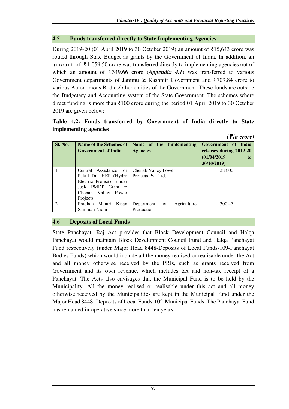$(\mathcal{F}$ *in crore)* 

#### **4.5 Funds transferred directly to State Implementing Agencies**

During 2019-20 (01 April 2019 to 30 October 2019) an amount of ₹15,643 crore was routed through State Budget as grants by the Government of India. In addition, an amount of ₹ 1,059.50 crore was transferred directly to implementing agencies out of which an amount of ₹349.66 crore (*Appendix 4.1*) was transferred to various Government departments of Jammu & Kashmir Government and ₹709.84 crore to various Autonomous Bodies/other entities of the Government. These funds are outside the Budgetary and Accounting system of the State Government. The schemes where direct funding is more than ₹100 crore during the period 01 April 2019 to 30 October 2019 are given below:

**Table 4.2: Funds transferred by Government of India directly to State implementing agencies** 

|                |                            |                                 | N th croier             |
|----------------|----------------------------|---------------------------------|-------------------------|
| Sl. No.        | Name of the Schemes of     | Name of the Implementing        | Government of India     |
|                | <b>Government of India</b> | <b>Agencies</b>                 | releases during 2019-20 |
|                |                            |                                 | (01/04/2019<br>to       |
|                |                            |                                 | 30/10/2019)             |
|                | Central Assistance for     | Chenab Valley Power             | 283.00                  |
|                | Pakul Dul HEP (Hydro       | Projects Pvt. Ltd.              |                         |
|                | Electric Project)<br>under |                                 |                         |
|                | J&K PMDP Grant to          |                                 |                         |
|                | Chenab Valley Power        |                                 |                         |
|                | Projects                   |                                 |                         |
| $\mathfrak{D}$ | Pradhan Mantri Kisan       | of<br>Agriculture<br>Department | 300.47                  |
|                | Samman Nidhi               | Production                      |                         |

#### **4.6 Deposits of Local Funds**

State Panchayati Raj Act provides that Block Development Council and Halqa Panchayat would maintain Block Development Council Fund and Halqa Panchayat Fund respectively (under Major Head 8448-Deposits of Local Funds-109-Panchayat Bodies Funds) which would include all the money realised or realisable under the Act and all money otherwise received by the PRIs, such as grants received from Government and its own revenue, which includes tax and non-tax receipt of a Panchayat. The Acts also envisages that the Municipal Fund is to be held by the Municipality. All the money realised or realisable under this act and all money otherwise received by the Municipalities are kept in the Municipal Fund under the Major Head 8448- Deposits of Local Funds-102-Municipal Funds. The Panchayat Fund has remained in operative since more than ten years.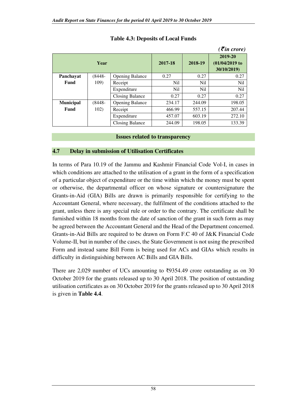|                  |                 |                        |                 |         | $( \bar{\mathbf{\xi}}$ in crore)            |
|------------------|-----------------|------------------------|-----------------|---------|---------------------------------------------|
| Year             |                 |                        | 2017-18         | 2018-19 | 2019-20<br>$(01/04/2019)$ to<br>30/10/2019) |
| Panchayat        | $(8448 -$       | <b>Opening Balance</b> | 0.27            | 0.27    | 0.27                                        |
| Fund             | 109)            | Receipt                | N <sub>il</sub> | Nil     | Nil                                         |
|                  |                 | Expenditure            | N <sub>il</sub> | Nil     | N <sub>il</sub>                             |
|                  |                 | <b>Closing Balance</b> | 0.27            | 0.27    | 0.27                                        |
| <b>Municipal</b> | (8448-          | <b>Opening Balance</b> | 234.17          | 244.09  | 198.05                                      |
| Fund             | 102)<br>Receipt |                        | 466.99          | 557.15  | 207.44                                      |
|                  |                 | Expenditure            | 457.07          | 603.19  | 272.10                                      |
|                  |                 | <b>Closing Balance</b> | 244.09          | 198.05  | 133.39                                      |

# **Table 4.3: Deposits of Local Funds**

#### **Issues related to transparency**

#### **4.7 Delay in submission of Utilisation Certificates**

In terms of Para 10.19 of the Jammu and Kashmir Financial Code Vol-I, in cases in which conditions are attached to the utilisation of a grant in the form of a specification of a particular object of expenditure or the time within which the money must be spent or otherwise, the departmental officer on whose signature or countersignature the Grants-in-Aid (GIA) Bills are drawn is primarily responsible for certifying to the Accountant General, where necessary, the fulfilment of the conditions attached to the grant, unless there is any special rule or order to the contrary. The certificate shall be furnished within 18 months from the date of sanction of the grant in such form as may be agreed between the Accountant General and the Head of the Department concerned. Grants-in-Aid Bills are required to be drawn on Form F.C 40 of J&K Financial Code Volume-II, but in number of the cases, the State Government is not using the prescribed Form and instead same Bill Form is being used for ACs and GIAs which results in difficulty in distinguishing between AC Bills and GIA Bills.

There are 2,029 number of UCs amounting to  $\overline{5}9354.49$  crore outstanding as on 30 October 2019 for the grants released up to 30 April 2018. The position of outstanding utilisation certificates as on 30 October 2019 for the grants released up to 30 April 2018 is given in **Table 4.4**.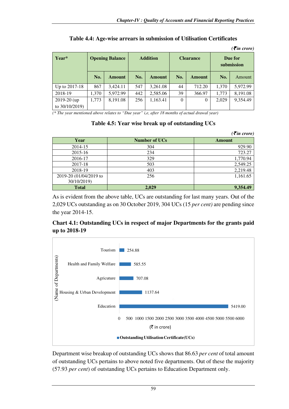|                                 |                        |               |     |                 |          |                  |       | $( \bar{\mathbf{z}}$ in crore) |
|---------------------------------|------------------------|---------------|-----|-----------------|----------|------------------|-------|--------------------------------|
| Year*                           | <b>Opening Balance</b> |               |     | <b>Addition</b> |          | <b>Clearance</b> |       | Due for<br>submission          |
|                                 | No.                    | <b>Amount</b> | No. | Amount          | No.      | Amount           | No.   | Amount                         |
| Up to 2017-18                   | 867                    | 3,424.11      | 547 | 3,261.08        | 44       | 712.20           | 1,370 | 5,972.99                       |
| 2018-19                         | 1,370                  | 5,972.99      | 442 | 2,585.06        | 39       | 366.97           | 1,773 | 8,191.08                       |
| $2019-20$ (up<br>to 30/10/2019) | 1,773                  | 8,191.08      | 256 | 1,163.41        | $\Omega$ | $\Omega$         | 2.029 | 9,354.49                       |

| Table 4.4: Age-wise arrears in submission of Utilisation Certificates |  |  |
|-----------------------------------------------------------------------|--|--|
|-----------------------------------------------------------------------|--|--|

*(\* The year mentioned above relates to "Due year" i,e, after 18 months of actual drawal year)* 

#### **Table 4.5: Year wise break up of outstanding UCs**

|                        |                      | $( \bar{\mathbf{\xi}}$ in crore) |
|------------------------|----------------------|----------------------------------|
| Year                   | <b>Number of UCs</b> | Amount                           |
| 2014-15                | 304                  | 929.90                           |
| 2015-16                | 234                  | 723.27                           |
| 2016-17                | 329                  | 1,770.94                         |
| 2017-18                | 503                  | 2,549.25                         |
| 2018-19                | 403                  | 2,219.48                         |
| 2019-20 (01/04/2019 to | 256                  | 1,161.65                         |
| 30/10/2019)            |                      |                                  |
| <b>Total</b>           | 2,029                | 9,354.49                         |

As is evident from the above table, UCs are outstanding for last many years. Out of the 2,029 UCs outstanding as on 30 October 2019, 304 UCs (15 *per cent)* are pending since the year 2014-15.

# **Chart 4.1: Outstanding UCs in respect of major Departments for the grants paid up to 2018-19**



Department wise breakup of outstanding UCs shows that 86.63 *per cent* of total amount of outstanding UCs pertains to above noted five departments. Out of these the majority (57.93 *per cent*) of outstanding UCs pertains to Education Department only.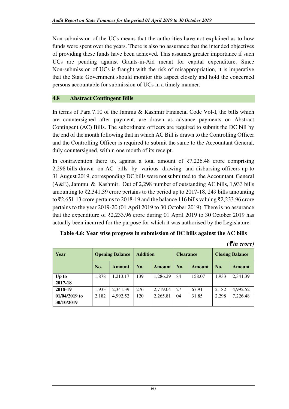Non-submission of the UCs means that the authorities have not explained as to how funds were spent over the years. There is also no assurance that the intended objectives of providing these funds have been achieved. This assumes greater importance if such UCs are pending against Grants-in-Aid meant for capital expenditure. Since Non-submission of UCs is fraught with the risk of misappropriation, it is imperative that the State Government should monitor this aspect closely and hold the concerned persons accountable for submission of UCs in a timely manner.

#### **4.8 Abstract Contingent Bills**

In terms of Para 7.10 of the Jammu & Kashmir Financial Code Vol-I, the bills which are countersigned after payment, are drawn as advance payments on Abstract Contingent (AC) Bills. The subordinate officers are required to submit the DC bill by the end of the month following that in which AC Bill is drawn to the Controlling Officer and the Controlling Officer is required to submit the same to the Accountant General, duly countersigned, within one month of its receipt.

In contravention there to, against a total amount of  $\overline{57,226.48}$  crore comprising 2,298 bills drawn on AC bills by various drawing and disbursing officers up to 31 August 2019, corresponding DC bills were not submitted to the Accountant General (A&E), Jammu & Kashmir. Out of 2,298 number of outstanding AC bills, 1,933 bills amounting to ₹2,341.39 crore pertains to the period up to 2017-18, 249 bills amounting to ₹2,651.13 crore pertains to 2018-19 and the balance 116 bills valuing ₹2,233.96 crore pertains to the year 2019-20 (01 April 2019 to 30 October 2019). There is no assurance that the expenditure of  $\bar{\zeta}2,233.96$  crore during 01 April 2019 to 30 October 2019 has actually been incurred for the purpose for which it was authorised by the Legislature.

| Table 4.6: Year wise progress in submission of DC bills against the AC bills |  |
|------------------------------------------------------------------------------|--|
|------------------------------------------------------------------------------|--|

|                                |       |                 |     |                  |     |                        |       | $( \bar{\mathbf{\mathcal{F}}}$ in crore) |
|--------------------------------|-------|-----------------|-----|------------------|-----|------------------------|-------|------------------------------------------|
| <b>Opening Balance</b><br>Year |       | <b>Addition</b> |     | <b>Clearance</b> |     | <b>Closing Balance</b> |       |                                          |
|                                | No.   | Amount          | No. | <b>Amount</b>    | No. | <b>Amount</b>          | No.   | Amount                                   |
| Up to                          | 1,878 | 1,213.17        | 139 | 1,286.29         | 84  | 158.07                 | 1.933 | 2,341.39                                 |
| 2017-18                        |       |                 |     |                  |     |                        |       |                                          |
| 2018-19                        | 1,933 | 2,341.39        | 276 | 2,719.04         | 27  | 67.91                  | 2.182 | 4,992.52                                 |
| $01/04/2019$ to                | 2,182 | 4,992.52        | 120 | 2,265.81         | 04  | 31.85                  | 2,298 | 7,226.48                                 |
| 30/10/2019                     |       |                 |     |                  |     |                        |       |                                          |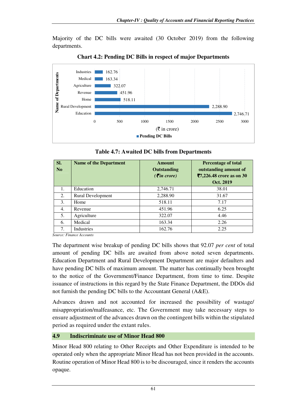Majority of the DC bills were awaited (30 October 2019) from the following departments.



**Chart 4.2: Pending DC Bills in respect of major Departments** 

| Table 4.7: Awaited DC bills from Departments |        |                      |  |  |  |  |  |  |
|----------------------------------------------|--------|----------------------|--|--|--|--|--|--|
| <b>Name of the Department</b>                | Amount | <b>Percentage of</b> |  |  |  |  |  |  |
|                                              |        |                      |  |  |  |  |  |  |

**Table 4.7: Awaited DC bills from Departments** 

| SI.<br>No | <b>Name of the Department</b> | <b>Amount</b><br><b>Outstanding</b><br>$( \bar{\mathbf{z}}$ in crore) | <b>Percentage of total</b><br>outstanding amount of<br>₹7,226.48 crore as on 30<br>Oct. 2019 |
|-----------|-------------------------------|-----------------------------------------------------------------------|----------------------------------------------------------------------------------------------|
| 1.        | Education                     | 2,746.71                                                              | 38.01                                                                                        |
| 2.        | Rural Development             | 2,288.90                                                              | 31.67                                                                                        |
| 3.        | Home                          | 518.11                                                                | 7.17                                                                                         |
| 4.        | Revenue                       | 451.96                                                                | 6.25                                                                                         |
| 5.        | Agriculture                   | 322.07                                                                | 4.46                                                                                         |
| 6.        | Medical                       | 163.34                                                                | 2.26                                                                                         |
| 7.        | Industries                    | 162.76                                                                | 2.25                                                                                         |

*Source: Finance Accounts* 

The department wise breakup of pending DC bills shows that 92.07 *per cent* of total amount of pending DC bills are awaited from above noted seven departments. Education Department and Rural Development Department are major defaulters and have pending DC bills of maximum amount. The matter has continually been brought to the notice of the Government/Finance Department, from time to time. Despite issuance of instructions in this regard by the State Finance Department, the DDOs did not furnish the pending DC bills to the Accountant General (A&E).

Advances drawn and not accounted for increased the possibility of wastage/ misappropriation/malfeasance, etc. The Government may take necessary steps to ensure adjustment of the advances drawn on the contingent bills within the stipulated period as required under the extant rules.

#### **4.9 Indiscriminate use of Minor Head 800**

Minor Head 800 relating to Other Receipts and Other Expenditure is intended to be operated only when the appropriate Minor Head has not been provided in the accounts. Routine operation of Minor Head 800 is to be discouraged, since it renders the accounts opaque.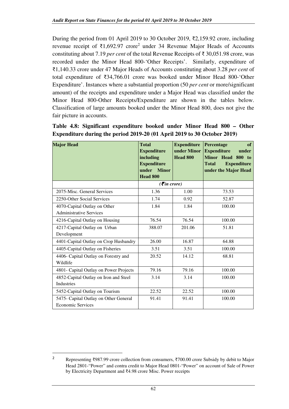During the period from 01 April 2019 to 30 October 2019, ₹2,159.92 crore, including revenue receipt of  $\bar{\tau}$ 1,692.97 crore<sup>2</sup> under 34 Revenue Major Heads of Accounts constituting about 7.19 *per cent* of the total Revenue Receipts of ₹ 30,051.98 crore, was recorded under the Minor Head 800-'Other Receipts'. Similarly, expenditure of ₹1,140.33 crore under 47 Major Heads of Accounts constituting about 3.28 *per cent* of total expenditure of ₹34,766.01 crore was booked under Minor Head 800-'Other Expenditure'. Instances where a substantial proportion (50 *per cent* or more/significant amount) of the receipts and expenditure under a Major Head was classified under the Minor Head 800-Other Receipts/Expenditure are shown in the tables below. Classification of large amounts booked under the Minor Head 800, does not give the fair picture in accounts.

| <b>Major Head</b>                                                 | <b>Total</b><br><b>Expenditure</b><br>including<br><b>Expenditure</b><br>under<br><b>Minor</b><br>Head 800 | <b>Expenditure</b><br>under Minor<br>Head 800 | Percentage<br>of<br><b>Expenditure</b><br>under<br>Minor Head 800 to<br><b>Expenditure</b><br><b>Total</b><br>under the Major Head |
|-------------------------------------------------------------------|------------------------------------------------------------------------------------------------------------|-----------------------------------------------|------------------------------------------------------------------------------------------------------------------------------------|
|                                                                   | $( \bar{\mathbf{\mathcal{F}}}$ in crore)                                                                   |                                               |                                                                                                                                    |
| 2075-Misc. General Services                                       | 1.36                                                                                                       | 1.00                                          | 73.53                                                                                                                              |
| 2250-Other Social Services                                        | 1.74                                                                                                       | 0.92                                          | 52.87                                                                                                                              |
| 4070-Capital Outlay on Other<br><b>Administrative Services</b>    | 1.84                                                                                                       | 1.84                                          | 100.00                                                                                                                             |
| 4216-Capital Outlay on Housing                                    | 76.54                                                                                                      | 76.54                                         | 100.00                                                                                                                             |
| 4217-Capital Outlay on Urban<br>Development                       | 388.07                                                                                                     | 201.06                                        | 51.81                                                                                                                              |
| 4401-Capital Outlay on Crop Husbandry                             | 26.00                                                                                                      | 16.87                                         | 64.88                                                                                                                              |
| 4405-Capital Outlay on Fisheries                                  | 3.51                                                                                                       | 3.51                                          | 100.00                                                                                                                             |
| 4406- Capital Outlay on Forestry and<br>Wildlife                  | 20.52                                                                                                      | 14.12                                         | 68.81                                                                                                                              |
| 4801- Capital Outlay on Power Projects                            | 79.16                                                                                                      | 79.16                                         | 100.00                                                                                                                             |
| 4852-Capital Outlay on Iron and Steel<br>Industries               | 3.14                                                                                                       | 3.14                                          | 100.00                                                                                                                             |
| 5452-Capital Outlay on Tourism                                    | 22.52                                                                                                      | 22.52                                         | 100.00                                                                                                                             |
| 5475- Capital Outlay on Other General<br><b>Economic Services</b> | 91.41                                                                                                      | 91.41                                         | 100.00                                                                                                                             |

**Table 4.8: Significant expenditure booked under Minor Head 800 – Other Expenditure during the period 2019-20 (01 April 2019 to 30 October 2019)** 

<sup>2</sup> Representing ₹987.99 crore collection from consumers, ₹700.00 crore Subsidy by debit to Major Head 2801-"Power" and contra credit to Major Head 0801-"Power" on account of Sale of Power by Electricity Department and ₹4.98 crore Misc. Power receipts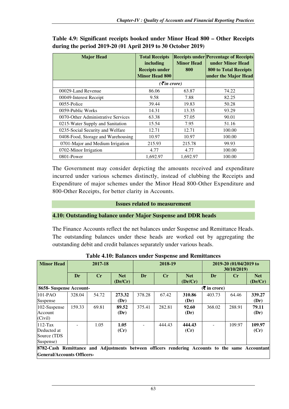| <b>Major Head</b>                  | <b>Total Receipts</b><br>including<br><b>Receipts under</b><br><b>Minor Head 800</b> | <b>Minor Head</b><br>800 | <b>Receipts under Percentage of Receipts</b><br>under Minor Head<br><b>800 to Total Receipts</b><br>under the Major Head |
|------------------------------------|--------------------------------------------------------------------------------------|--------------------------|--------------------------------------------------------------------------------------------------------------------------|
|                                    | $( \bar{\mathbf{z}}$ in crore)                                                       |                          |                                                                                                                          |
| 00029-Land Revenue                 | 86.06                                                                                | 63.87                    | 74.22                                                                                                                    |
| 00049-Interest Receipt             | 9.58                                                                                 | 7.88                     | 82.25                                                                                                                    |
| 0055-Police                        | 39.44                                                                                | 19.83                    | 50.28                                                                                                                    |
| 0059-Public Works                  | 14.31                                                                                | 13.35                    | 93.29                                                                                                                    |
| 0070-Other Administrative Services | 63.38                                                                                | 57.05                    | 90.01                                                                                                                    |
| 0215-Water Supply and Sanitation   | 15.54                                                                                | 7.95                     | 51.16                                                                                                                    |
| 0235-Social Security and Welfare   | 12.71                                                                                | 12.71                    | 100.00                                                                                                                   |
| 0408-Food, Storage and Warehousing | 10.97                                                                                | 10.97                    | 100.00                                                                                                                   |
| 0701-Major and Medium Irrigation   | 215.93                                                                               | 215.78                   | 99.93                                                                                                                    |
| 0702-Minor Irrigation              | 4.77                                                                                 | 4.77                     | 100.00                                                                                                                   |
| 0801-Power                         | 1,692.97                                                                             | 1,692.97                 | 100.00                                                                                                                   |

**Table 4.9: Significant receipts booked under Minor Head 800 – Other Receipts during the period 2019-20 (01 April 2019 to 30 October 2019)** 

The Government may consider depicting the amounts received and expenditure incurred under various schemes distinctly, instead of clubbing the Receipts and Expenditure of major schemes under the Minor Head 800-Other Expenditure and 800-Other Receipts, for better clarity in Accounts.

#### **Issues related to measurement**

#### **4.10: Outstanding balance under Major Suspense and DDR heads**

The Finance Accounts reflect the net balances under Suspense and Remittance Heads. The outstanding balances under these heads are worked out by aggregating the outstanding debit and credit balances separately under various heads.

| <b>Minor Head</b>                                                                                                                    | 2017-18 |       | 2018-19        |        |        | 2019-20 (01/04/2019 to<br>30/10/2019) |        |                |                       |
|--------------------------------------------------------------------------------------------------------------------------------------|---------|-------|----------------|--------|--------|---------------------------------------|--------|----------------|-----------------------|
|                                                                                                                                      | Dr      | Cr    | Net<br>(Dr/Cr) | Dr     | Cr     | <b>Net</b><br>(Dr/Cr)                 | Dr     | $\mathbf{C}$ r | <b>Net</b><br>(Dr/Cr) |
| $(5 \text{ in } \text{core})$<br>8658-Suspense Account-                                                                              |         |       |                |        |        |                                       |        |                |                       |
| 101-PAO<br>Suspense                                                                                                                  | 328.04  | 54.72 | 273.32<br>(Dr) | 378.28 | 67.42  | 310.86<br>(Dr)                        | 403.73 | 64.46          | 339.27<br>(Dr)        |
| 102-Suspense<br>Account<br>(Civil)                                                                                                   | 159.33  | 69.81 | 89.52<br>(Dr)  | 375.41 | 282.81 | 92.60<br>(Dr)                         | 368.02 | 288.91         | 79.11<br>(Dr)         |
| $112-Tax$<br>Deducted at<br>Source (TDS)<br>Suspense)                                                                                |         | 1.05  | 1.05<br>(Cr)   |        | 444.43 | 444.43<br>(Cr)                        |        | 109.97         | 109.97<br>(Cr)        |
| 8782-Cash Remittance and Adjustments between officers rendering Accounts to the same Accountant<br><b>General/Accounts Officers-</b> |         |       |                |        |        |                                       |        |                |                       |

**Table 4.10: Balances under Suspense and Remittances**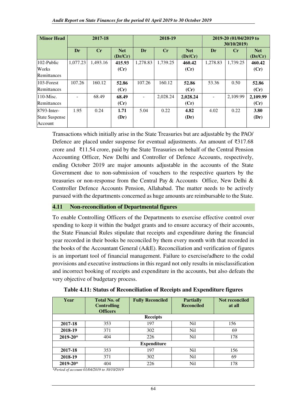| <b>Minor Head</b>     | 2017-18  |          | 2018-19               |                          |          | 2019-20 (01/04/2019 to<br>30/10/2019) |          |          |                       |
|-----------------------|----------|----------|-----------------------|--------------------------|----------|---------------------------------------|----------|----------|-----------------------|
|                       | Dr       | Cr       | <b>Net</b><br>(Dr/Cr) | Dr                       | Cr       | <b>Net</b><br>(Dr/Cr)                 | Dr       | $C_{r}$  | <b>Net</b><br>(Dr/Cr) |
| 102-Public            | 1,077.23 | 1,493.16 | 415.93                | 1,278.83                 | 1,739.25 | 460.42                                | 1,278.83 | 1,739.25 | 460.42                |
| Works                 |          |          | (Cr)                  |                          |          | (Cr)                                  |          |          | (Cr)                  |
| Remittances           |          |          |                       |                          |          |                                       |          |          |                       |
| 103-Forest            | 107.26   | 160.12   | 52.86                 | 107.26                   | 160.12   | 52.86                                 | 53.36    | 0.50     | 52.86                 |
| Remittances           |          |          | (Cr)                  |                          |          | (Cr)                                  |          |          | (Cr)                  |
| $110$ -Misc.          |          | 68.49    | 68.49                 | $\overline{\phantom{a}}$ | 2,028.24 | 2,028.24                              |          | 2,109.99 | 2,109.99              |
| Remittances           |          |          | (Cr)                  |                          |          | (Cr)                                  |          |          | (Cr)                  |
| 8793-Inter-           | 1.95     | 0.24     | 1.71                  | 5.04                     | 0.22     | 4.82                                  | 4.02     | 0.22     | 3.80                  |
| <b>State Suspense</b> |          |          | (Dr)                  |                          |          | (Dr)                                  |          |          | (Dr)                  |
| Account               |          |          |                       |                          |          |                                       |          |          |                       |

Transactions which initially arise in the State Treasuries but are adjustable by the PAO/ Defence are placed under suspense for eventual adjustments. An amount of ₹317.68 crore and ₹11.54 crore, paid by the State Treasuries on behalf of the Central Pension Accounting Officer, New Delhi and Controller of Defence Accounts, respectively, ending October 2019 are major amounts adjustable in the accounts of the State Government due to non-submission of vouchers to the respective quarters by the treasuries or non-response from the Central Pay & Accounts Office, New Delhi & Controller Defence Accounts Pension, Allahabad. The matter needs to be actively pursued with the departments concerned as huge amounts are reimbursable to the State.

#### **4.11 Non-reconciliation of Departmental figures**

To enable Controlling Officers of the Departments to exercise effective control over spending to keep it within the budget grants and to ensure accuracy of their accounts, the State Financial Rules stipulate that receipts and expenditure during the financial year recorded in their books be reconciled by them every month with that recorded in the books of the Accountant General (A&E). Reconciliation and verification of figures is an important tool of financial management. Failure to exercise/adhere to the codal provisions and executive instructions in this regard not only results in misclassification and incorrect booking of receipts and expenditure in the accounts, but also defeats the very objective of budgetary process.

| Year         | <b>Total No. of</b><br><b>Controlling</b><br><b>Officers</b> | <b>Fully Reconciled</b> | <b>Partially</b><br><b>Reconciled</b> | <b>Not reconciled</b><br>at all |
|--------------|--------------------------------------------------------------|-------------------------|---------------------------------------|---------------------------------|
|              |                                                              | <b>Receipts</b>         |                                       |                                 |
| 2017-18      | 353                                                          | 197                     | Nil                                   | 156                             |
| 2018-19      | 371                                                          | 302                     | N <sub>i</sub> l                      | 69                              |
| $2019 - 20*$ | 404                                                          | 226                     | N <sub>i</sub> l                      | 178                             |
|              |                                                              | <b>Expenditure</b>      |                                       |                                 |
| 2017-18      | 353                                                          | 197                     | N <sub>i</sub> l                      | 156                             |
| 2018-19      | 371                                                          | 302                     | Nil                                   | 69                              |
| 2019-20*     | 404                                                          | 226                     | Nil                                   | 178                             |

| Table 4.11: Status of Reconciliation of Receipts and Expenditure figures |
|--------------------------------------------------------------------------|
|--------------------------------------------------------------------------|

*\*Period of account 01/04/2019 to 30/10/2019*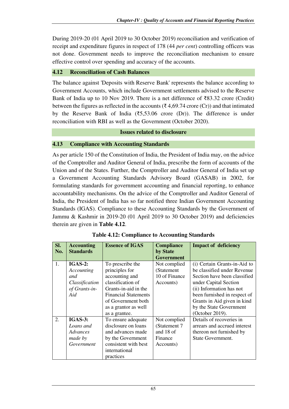During 2019-20 (01 April 2019 to 30 October 2019) reconciliation and verification of receipt and expenditure figures in respect of 178 (44 *per cent*) controlling officers was not done. Government needs to improve the reconciliation mechanism to ensure effective control over spending and accuracy of the accounts.

### **4.12 Reconciliation of Cash Balances**

The balance against 'Deposits with Reserve Bank' represents the balance according to Government Accounts, which include Government settlements advised to the Reserve Bank of India up to 10 Nov 2019. There is a net difference of ₹83.32 crore (Credit) between the figures as reflected in the accounts ( $\bar{\tau}$  4,69.74 crore (Cr)) and that intimated by the Reserve Bank of India ( $\overline{(55,53.06)}$  crore (Dr)). The difference is under reconciliation with RBI as well as the Government (October 2020).

#### **Issues related to disclosure**

# **4.13 Compliance with Accounting Standards**

As per article 150 of the Constitution of India, the President of India may, on the advice of the Comptroller and Auditor General of India, prescribe the form of accounts of the Union and of the States. Further, the Comptroller and Auditor General of India set up a Government Accounting Standards Advisory Board (GASAB) in 2002, for formulating standards for government accounting and financial reporting, to enhance accountability mechanisms. On the advice of the Comptroller and Auditor General of India, the President of India has so far notified three Indian Government Accounting Standards (IGAS). Compliance to these Accounting Standards by the Government of Jammu & Kashmir in 2019-20 (01 April 2019 to 30 October 2019) and deficiencies therein are given in **Table 4.12**.

| SI.<br>No.     | <b>Accounting</b><br><b>Standards</b>                                     | <b>Essence of IGAS</b>                                                                                                                                                                          | <b>Compliance</b><br>by State<br><b>Government</b>                | <b>Impact of deficiency</b>                                                                                                                                                                                                                                   |
|----------------|---------------------------------------------------------------------------|-------------------------------------------------------------------------------------------------------------------------------------------------------------------------------------------------|-------------------------------------------------------------------|---------------------------------------------------------------------------------------------------------------------------------------------------------------------------------------------------------------------------------------------------------------|
| $\mathbf{1}$ . | $IGAS-2$ :<br>Accounting<br>and<br>Classification<br>of Grants-in-<br>Aid | To prescribe the<br>principles for<br>accounting and<br>classification of<br>Grants-in-aid in the<br><b>Financial Statements</b><br>of Government both<br>as a grantor as well<br>as a grantee. | Not complied<br>(Statement<br>10 of Finance<br>Accounts)          | (i) Certain Grants-in-Aid to<br>be classified under Revenue<br>Section have been classified<br>under Capital Section<br>(ii) Information has not<br>been furnished in respect of<br>Grants in Aid given in kind<br>by the State Government<br>(October 2019). |
| 2.             | <b>IGAS-3:</b><br>Loans and<br>Advances<br>made by<br>Government          | To ensure adequate<br>disclosure on loans<br>and advances made<br>by the Government<br>consistent with best<br>international<br>practices                                                       | Not complied<br>(Statement 7<br>and 18 of<br>Finance<br>Accounts) | Details of recoveries in<br>arrears and accrued interest<br>thereon not furnished by<br>State Government.                                                                                                                                                     |

**Table 4.12: Compliance to Accounting Standards**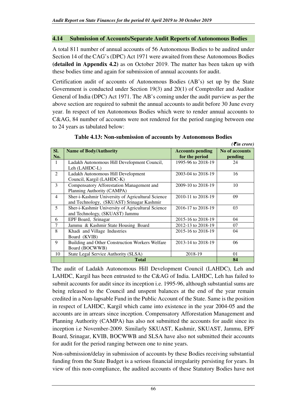#### **4.14 Submission of Accounts/Separate Audit Reports of Autonomous Bodies**

A total 811 number of annual accounts of 56 Autonomous Bodies to be audited under Section 14 of the CAG's (DPC) Act 1971 were awaited from these Autonomous Bodies **(detailed in Appendix 4.2)** as on October 2019. The matter has been taken up with these bodies time and again for submission of annual accounts for audit.

Certification audit of accounts of Autonomous Bodies (AB's) set up by the State Government is conducted under Section 19(3) and 20(1) of Comptroller and Auditor General of India (DPC) Act 1971. The AB's coming under the audit purview as per the above section are required to submit the annual accounts to audit before 30 June every year. In respect of ten Autonomous Bodies which were to render annual accounts to C&AG, 84 number of accounts were not rendered for the period ranging between one to 24 years as tabulated below:

|            |                                                                                                |                                           | $( \bar{\mathbf{z}}$ in crore) |
|------------|------------------------------------------------------------------------------------------------|-------------------------------------------|--------------------------------|
| SI.<br>No. | <b>Name of Body/Authority</b>                                                                  | <b>Accounts pending</b><br>for the period | No of accounts<br>pending      |
| 1          | Ladakh Autonomous Hill Development Council,<br>Leh (LAHDC-L)                                   | 1995-96 to 2018-19                        | 24                             |
| 2          | Ladakh Autonomous Hill Development<br>Council, Kargil (LAHDC-K)                                | 2003-04 to 2018-19                        | 16                             |
| 3          | Compensatory Afforestation Management and<br>Planning Authority (CAMPA)                        | 2009-10 to 2018-19                        | 10                             |
| 4          | Sher-i-Kashmir University of Agricultural Science<br>and Technology, (SKUAST) Srinagar Kashmir | 2010-11 to 2018-19                        | 09                             |
| 5          | Sher-i-Kashmir University of Agricultural Science<br>and Technology, (SKUAST) Jammu            | 2016-17 to 2018-19                        | 03                             |
| 6          | EPF Board, Srinagar                                                                            | 2015-16 to 2018-19                        | 04                             |
| 7          | Jammu & Kashmir State Housing Board                                                            | 2012-13 to 2018-19                        | 07                             |
| 8          | Khadi and Village Industries<br>Board (KVIB)                                                   | 2015-16 to 2018-19                        | 04                             |
| 9          | Building and Other Construction Workers Welfare<br>Board (BOCWWB)                              | 2013-14 to 2018-19                        | 06                             |
| 10         | State Legal Service Authority (SLSA)                                                           | 2018-19                                   | 01                             |
|            | <b>Total</b>                                                                                   |                                           | 84                             |

**Table 4.13: Non-submission of accounts by Autonomous Bodies** 

The audit of Ladakh Autonomous Hill Development Council (LAHDC), Leh and LAHDC, Kargil has been entrusted to the C&AG of India. LAHDC, Leh has failed to submit accounts for audit since its inception i.e. 1995-96, although substantial sums are being released to the Council and unspent balances at the end of the year remain credited in a Non-lapsable Fund in the Public Account of the State. Same is the position in respect of LAHDC, Kargil which came into existence in the year 2004-05 and the accounts are in arrears since inception. Compensatory Afforestation Management and Planning Authority (CAMPA) has also not submitted the accounts for audit since its inception i.e November-2009. Similarly SKUAST, Kashmir, SKUAST, Jammu, EPF Board, Srinagar, KVIB, BOCWWB and SLSA have also not submitted their accounts for audit for the period ranging between one to nine years.

Non-submission/delay in submission of accounts by these Bodies receiving substantial funding from the State Budget is a serious financial irregularity persisting for years. In view of this non-compliance, the audited accounts of these Statutory Bodies have not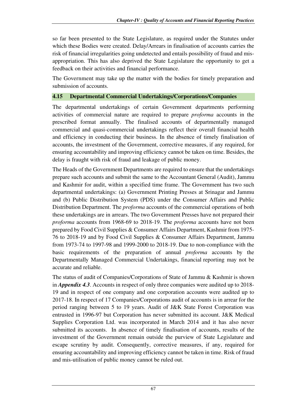so far been presented to the State Legislature, as required under the Statutes under which these Bodies were created. Delay/Arrears in finalisation of accounts carries the risk of financial irregularities going undetected and entails possibility of fraud and misappropriation. This has also deprived the State Legislature the opportunity to get a feedback on their activities and financial performance.

The Government may take up the matter with the bodies for timely preparation and submission of accounts.

# **4.15 Departmental Commercial Undertakings/Corporations/Companies**

The departmental undertakings of certain Government departments performing activities of commercial nature are required to prepare *proforma* accounts in the prescribed format annually. The finalised accounts of departmentally managed commercial and quasi-commercial undertakings reflect their overall financial health and efficiency in conducting their business. In the absence of timely finalisation of accounts, the investment of the Government, corrective measures, if any required, for ensuring accountability and improving efficiency cannot be taken on time. Besides, the delay is fraught with risk of fraud and leakage of public money.

The Heads of the Government Departments are required to ensure that the undertakings prepare such accounts and submit the same to the Accountant General (Audit), Jammu and Kashmir for audit, within a specified time frame. The Government has two such departmental undertakings: (a) Government Printing Presses at Srinagar and Jammu and (b) Public Distribution System (PDS) under the Consumer Affairs and Public Distribution Department. The *proforma* accounts of the commercial operations of both these undertakings are in arrears. The two Government Presses have not prepared their *proforma* accounts from 1968-69 to 2018-19. The *proforma* accounts have not been prepared by Food Civil Supplies & Consumer Affairs Department, Kashmir from 1975- 76 to 2018-19 and by Food Civil Supplies & Consumer Affairs Department, Jammu from 1973-74 to 1997-98 and 1999-2000 to 2018-19. Due to non-compliance with the basic requirements of the preparation of annual *proforma* accounts by the Departmentally Managed Commercial Undertakings, financial reporting may not be accurate and reliable.

The status of audit of Companies/Corporations of State of Jammu & Kashmir is shown in *Appendix 4.3*. Accounts in respect of only three companies were audited up to 2018- 19 and in respect of one company and one corporation accounts were audited up to 2017-18. In respect of 17 Companies/Corporations audit of accounts is in arrear for the period ranging between 5 to 19 years. Audit of J&K State Forest Corporation was entrusted in 1996-97 but Corporation has never submitted its account. J&K Medical Supplies Corporation Ltd. was incorporated in March 2014 and it has also never submitted its accounts. In absence of timely finalisation of accounts, results of the investment of the Government remain outside the purview of State Legislature and escape scrutiny by audit. Consequently, corrective measures, if any, required for ensuring accountability and improving efficiency cannot be taken in time. Risk of fraud and mis-utilisation of public money cannot be ruled out.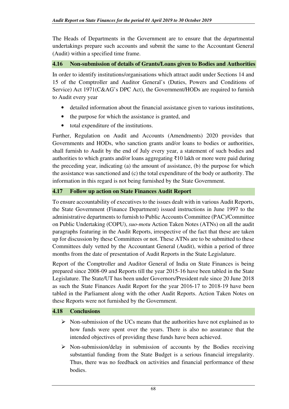The Heads of Departments in the Government are to ensure that the departmental undertakings prepare such accounts and submit the same to the Accountant General (Audit) within a specified time frame.

#### **4.16 Non-submission of details of Grants/Loans given to Bodies and Authorities**

In order to identify institutions/organisations which attract audit under Sections 14 and 15 of the Comptroller and Auditor General's (Duties, Powers and Conditions of Service) Act 1971(C&AG's DPC Act), the Government/HODs are required to furnish to Audit every year

- detailed information about the financial assistance given to various institutions,
- the purpose for which the assistance is granted, and
- total expenditure of the institutions.

Further, Regulation on Audit and Accounts (Amendments) 2020 provides that Governments and HODs, who sanction grants and/or loans to bodies or authorities, shall furnish to Audit by the end of July every year, a statement of such bodies and authorities to which grants and/or loans aggregating ₹10 lakh or more were paid during the preceding year, indicating (a) the amount of assistance, (b) the purpose for which the assistance was sanctioned and (c) the total expenditure of the body or authority. The information in this regard is not being furnished by the State Government.

#### **4.17 Follow up action on State Finances Audit Report**

To ensure accountability of executives to the issues dealt with in various Audit Reports, the State Government (Finance Department) issued instructions in June 1997 to the administrative departments to furnish to Public Accounts Committee (PAC)/Committee on Public Undertaking (COPU), *suo-motu* Action Taken Notes (ATNs) on all the audit paragraphs featuring in the Audit Reports, irrespective of the fact that these are taken up for discussion by these Committees or not. These ATNs are to be submitted to these Committees duly vetted by the Accountant General (Audit), within a period of three months from the date of presentation of Audit Reports in the State Legislature.

Report of the Comptroller and Auditor General of India on State Finances is being prepared since 2008-09 and Reports till the year 2015-16 have been tabled in the State Legislature. The State/UT has been under Governors/President rule since 20 June 2018 as such the State Finances Audit Report for the year 2016-17 to 2018-19 have been tabled in the Parliament along with the other Audit Reports. Action Taken Notes on these Reports were not furnished by the Government.

#### **4.18 Conclusions**

- $\triangleright$  Non-submission of the UCs means that the authorities have not explained as to how funds were spent over the years. There is also no assurance that the intended objectives of providing these funds have been achieved.
- $\triangleright$  Non-submission/delay in submission of accounts by the Bodies receiving substantial funding from the State Budget is a serious financial irregularity. Thus, there was no feedback on activities and financial performance of these bodies.